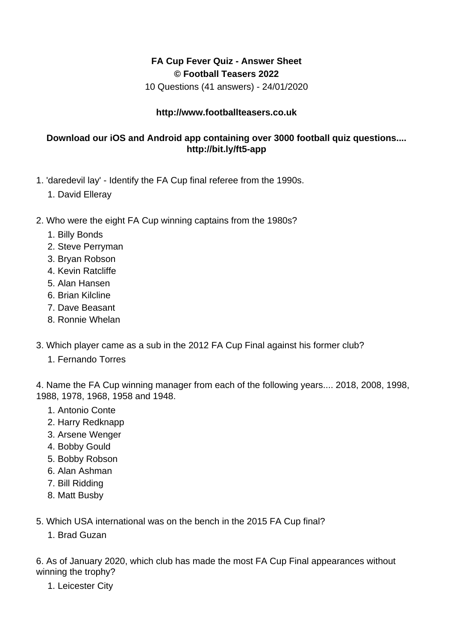## **FA Cup Fever Quiz - Answer Sheet © Football Teasers 2022**

10 Questions (41 answers) - 24/01/2020

## **http://www.footballteasers.co.uk**

## **Download our iOS and Android app containing over 3000 football quiz questions.... http://bit.ly/ft5-app**

- 1. 'daredevil lay' Identify the FA Cup final referee from the 1990s.
	- 1. David Elleray
- 2. Who were the eight FA Cup winning captains from the 1980s?
	- 1. Billy Bonds
	- 2. Steve Perryman
	- 3. Bryan Robson
	- 4. Kevin Ratcliffe
	- 5. Alan Hansen
	- 6. Brian Kilcline
	- 7. Dave Beasant
	- 8. Ronnie Whelan
- 3. Which player came as a sub in the 2012 FA Cup Final against his former club?
	- 1. Fernando Torres

4. Name the FA Cup winning manager from each of the following years.... 2018, 2008, 1998, 1988, 1978, 1968, 1958 and 1948.

- 1. Antonio Conte
- 2. Harry Redknapp
- 3. Arsene Wenger
- 4. Bobby Gould
- 5. Bobby Robson
- 6. Alan Ashman
- 7. Bill Ridding
- 8. Matt Busby

5. Which USA international was on the bench in the 2015 FA Cup final?

1. Brad Guzan

6. As of January 2020, which club has made the most FA Cup Final appearances without winning the trophy?

1. Leicester City